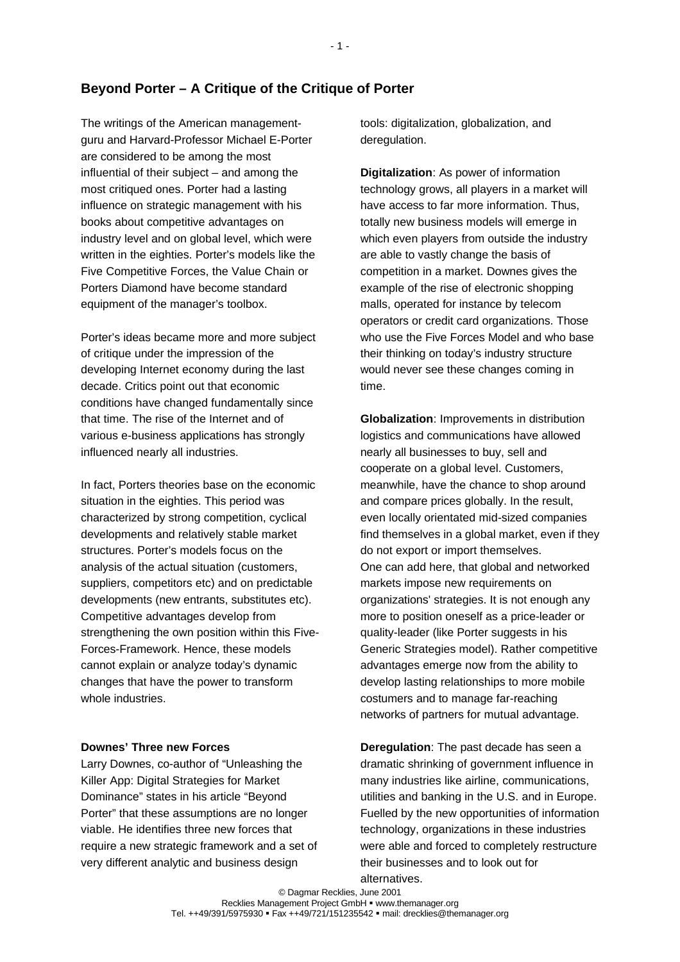# **Beyond Porter – A Critique of the Critique of Porter**

The writings of the American managementguru and Harvard-Professor Michael E-Porter are considered to be among the most influential of their subject – and among the most critiqued ones. Porter had a lasting influence on strategic management with his books about competitive advantages on industry level and on global level, which were written in the eighties. Porter's models like the Five Competitive Forces, the Value Chain or Porters Diamond have become standard equipment of the manager's toolbox.

Porter's ideas became more and more subject of critique under the impression of the developing Internet economy during the last decade. Critics point out that economic conditions have changed fundamentally since that time. The rise of the Internet and of various e-business applications has strongly influenced nearly all industries.

In fact, Porters theories base on the economic situation in the eighties. This period was characterized by strong competition, cyclical developments and relatively stable market structures. Porter's models focus on the analysis of the actual situation (customers, suppliers, competitors etc) and on predictable developments (new entrants, substitutes etc). Competitive advantages develop from strengthening the own position within this Five-Forces-Framework. Hence, these models cannot explain or analyze today's dynamic changes that have the power to transform whole industries.

## **Downes' Three new Forces**

Larry Downes, co-author of "Unleashing the Killer App: Digital Strategies for Market Dominance" states in his article "Beyond Porter" that these assumptions are no longer viable. He identifies three new forces that require a new strategic framework and a set of very different analytic and business design

tools: digitalization, globalization, and deregulation.

**Digitalization**: As power of information technology grows, all players in a market will have access to far more information. Thus, totally new business models will emerge in which even players from outside the industry are able to vastly change the basis of competition in a market. Downes gives the example of the rise of electronic shopping malls, operated for instance by telecom operators or credit card organizations. Those who use the Five Forces Model and who base their thinking on today's industry structure would never see these changes coming in time.

**Globalization**: Improvements in distribution logistics and communications have allowed nearly all businesses to buy, sell and cooperate on a global level. Customers, meanwhile, have the chance to shop around and compare prices globally. In the result, even locally orientated mid-sized companies find themselves in a global market, even if they do not export or import themselves. One can add here, that global and networked markets impose new requirements on organizations' strategies. It is not enough any more to position oneself as a price-leader or quality-leader (like Porter suggests in his Generic Strategies model). Rather competitive advantages emerge now from the ability to develop lasting relationships to more mobile costumers and to manage far-reaching networks of partners for mutual advantage.

**Deregulation**: The past decade has seen a dramatic shrinking of government influence in many industries like airline, communications, utilities and banking in the U.S. and in Europe. Fuelled by the new opportunities of information technology, organizations in these industries were able and forced to completely restructure their businesses and to look out for alternatives.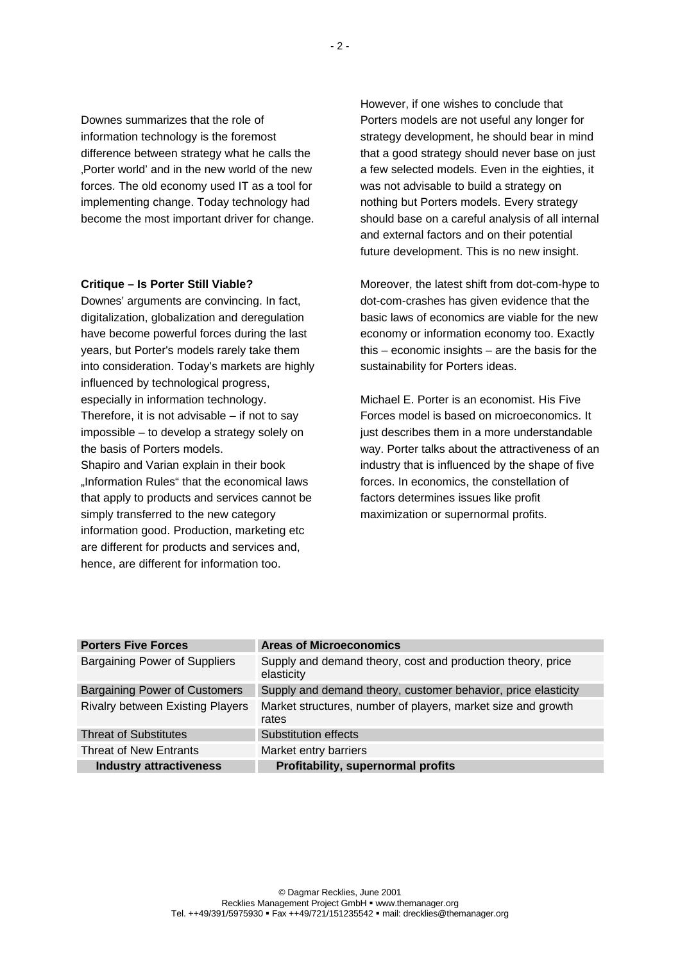Downes summarizes that the role of information technology is the foremost difference between strategy what he calls the 'Porter world' and in the new world of the new forces. The old economy used IT as a tool for implementing change. Today technology had become the most important driver for change.

## **Critique – Is Porter Still Viable?**

Downes' arguments are convincing. In fact, digitalization, globalization and deregulation have become powerful forces during the last years, but Porter's models rarely take them into consideration. Today's markets are highly influenced by technological progress, especially in information technology. Therefore, it is not advisable  $-$  if not to say impossible – to develop a strategy solely on the basis of Porters models. Shapiro and Varian explain in their book "Information Rules" that the economical laws

that apply to products and services cannot be simply transferred to the new category information good. Production, marketing etc are different for products and services and, hence, are different for information too.

However, if one wishes to conclude that Porters models are not useful any longer for strategy development, he should bear in mind that a good strategy should never base on just a few selected models. Even in the eighties, it was not advisable to build a strategy on nothing but Porters models. Every strategy should base on a careful analysis of all internal and external factors and on their potential future development. This is no new insight.

Moreover, the latest shift from dot-com-hype to dot-com-crashes has given evidence that the basic laws of economics are viable for the new economy or information economy too. Exactly this – economic insights – are the basis for the sustainability for Porters ideas.

Michael E. Porter is an economist. His Five Forces model is based on microeconomics. It just describes them in a more understandable way. Porter talks about the attractiveness of an industry that is influenced by the shape of five forces. In economics, the constellation of factors determines issues like profit maximization or supernormal profits.

| <b>Porters Five Forces</b>              | <b>Areas of Microeconomics</b>                                            |
|-----------------------------------------|---------------------------------------------------------------------------|
| <b>Bargaining Power of Suppliers</b>    | Supply and demand theory, cost and production theory, price<br>elasticity |
| <b>Bargaining Power of Customers</b>    | Supply and demand theory, customer behavior, price elasticity             |
| <b>Rivalry between Existing Players</b> | Market structures, number of players, market size and growth<br>rates     |
| <b>Threat of Substitutes</b>            | Substitution effects                                                      |
| <b>Threat of New Entrants</b>           | Market entry barriers                                                     |
| <b>Industry attractiveness</b>          | Profitability, supernormal profits                                        |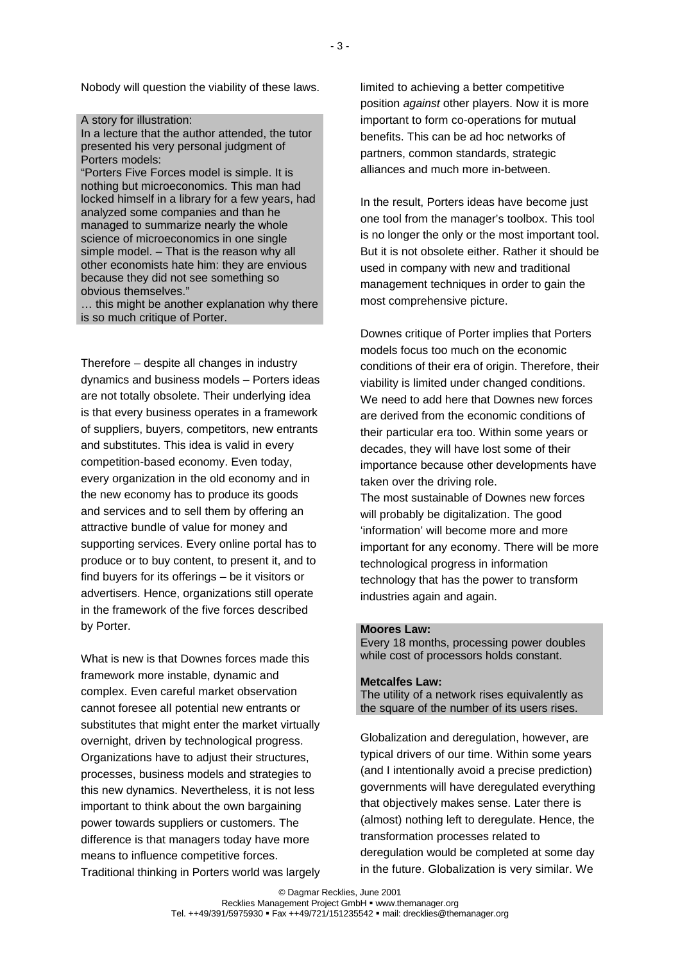Nobody will question the viability of these laws.

#### A story for illustration:

In a lecture that the author attended, the tutor presented his very personal judgment of Porters models:

"Porters Five Forces model is simple. It is nothing but microeconomics. This man had locked himself in a library for a few years, had analyzed some companies and than he managed to summarize nearly the whole science of microeconomics in one single simple model. – That is the reason why all other economists hate him: they are envious because they did not see something so obvious themselves."

… this might be another explanation why there is so much critique of Porter.

Therefore – despite all changes in industry dynamics and business models – Porters ideas are not totally obsolete. Their underlying idea is that every business operates in a framework of suppliers, buyers, competitors, new entrants and substitutes. This idea is valid in every competition-based economy. Even today, every organization in the old economy and in the new economy has to produce its goods and services and to sell them by offering an attractive bundle of value for money and supporting services. Every online portal has to produce or to buy content, to present it, and to find buyers for its offerings – be it visitors or advertisers. Hence, organizations still operate in the framework of the five forces described by Porter.

What is new is that Downes forces made this framework more instable, dynamic and complex. Even careful market observation cannot foresee all potential new entrants or substitutes that might enter the market virtually overnight, driven by technological progress. Organizations have to adjust their structures, processes, business models and strategies to this new dynamics. Nevertheless, it is not less important to think about the own bargaining power towards suppliers or customers. The difference is that managers today have more means to influence competitive forces. Traditional thinking in Porters world was largely limited to achieving a better competitive position *against* other players. Now it is more important to form co-operations for mutual benefits. This can be ad hoc networks of partners, common standards, strategic alliances and much more in-between.

In the result, Porters ideas have become just one tool from the manager's toolbox. This tool is no longer the only or the most important tool. But it is not obsolete either. Rather it should be used in company with new and traditional management techniques in order to gain the most comprehensive picture.

Downes critique of Porter implies that Porters models focus too much on the economic conditions of their era of origin. Therefore, their viability is limited under changed conditions. We need to add here that Downes new forces are derived from the economic conditions of their particular era too. Within some years or decades, they will have lost some of their importance because other developments have taken over the driving role. The most sustainable of Downes new forces will probably be digitalization. The good 'information' will become more and more important for any economy. There will be more technological progress in information technology that has the power to transform industries again and again.

### **Moores Law:**

Every 18 months, processing power doubles while cost of processors holds constant.

#### **Metcalfes Law:**

The utility of a network rises equivalently as the square of the number of its users rises.

Globalization and deregulation, however, are typical drivers of our time. Within some years (and I intentionally avoid a precise prediction) governments will have deregulated everything that objectively makes sense. Later there is (almost) nothing left to deregulate. Hence, the transformation processes related to deregulation would be completed at some day in the future. Globalization is very similar. We